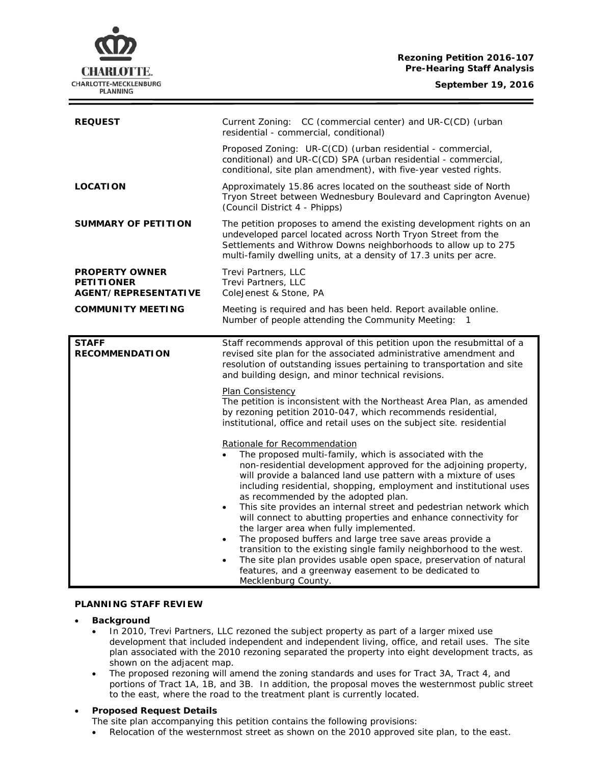### **Rezoning Petition 2016-107 Pre-Hearing Staff Analysis**

**CHARLOTTE.** CHARLOTTE-MECKLENBURG **PLANNING** 

| Current Zoning: CC (commercial center) and UR-C(CD) (urban<br>residential - commercial, conditional)                                                                                                                                                                                                                                                                                                                                                                                                                                                                                                                                                                                                                                                              |
|-------------------------------------------------------------------------------------------------------------------------------------------------------------------------------------------------------------------------------------------------------------------------------------------------------------------------------------------------------------------------------------------------------------------------------------------------------------------------------------------------------------------------------------------------------------------------------------------------------------------------------------------------------------------------------------------------------------------------------------------------------------------|
| Proposed Zoning: UR-C(CD) (urban residential - commercial,<br>conditional) and UR-C(CD) SPA (urban residential - commercial,<br>conditional, site plan amendment), with five-year vested rights.                                                                                                                                                                                                                                                                                                                                                                                                                                                                                                                                                                  |
| Approximately 15.86 acres located on the southeast side of North<br>Tryon Street between Wednesbury Boulevard and Caprington Avenue)<br>(Council District 4 - Phipps)                                                                                                                                                                                                                                                                                                                                                                                                                                                                                                                                                                                             |
| The petition proposes to amend the existing development rights on an<br>undeveloped parcel located across North Tryon Street from the<br>Settlements and Withrow Downs neighborhoods to allow up to 275<br>multi-family dwelling units, at a density of 17.3 units per acre.                                                                                                                                                                                                                                                                                                                                                                                                                                                                                      |
| Trevi Partners, LLC<br>Trevi Partners, LLC<br>ColeJenest & Stone, PA                                                                                                                                                                                                                                                                                                                                                                                                                                                                                                                                                                                                                                                                                              |
| Meeting is required and has been held. Report available online.<br>Number of people attending the Community Meeting:<br>1                                                                                                                                                                                                                                                                                                                                                                                                                                                                                                                                                                                                                                         |
| Staff recommends approval of this petition upon the resubmittal of a<br>revised site plan for the associated administrative amendment and<br>resolution of outstanding issues pertaining to transportation and site<br>and building design, and minor technical revisions.                                                                                                                                                                                                                                                                                                                                                                                                                                                                                        |
| Plan Consistency<br>The petition is inconsistent with the Northeast Area Plan, as amended<br>by rezoning petition 2010-047, which recommends residential,<br>institutional, office and retail uses on the subject site. residential                                                                                                                                                                                                                                                                                                                                                                                                                                                                                                                               |
| Rationale for Recommendation<br>The proposed multi-family, which is associated with the<br>non-residential development approved for the adjoining property,<br>will provide a balanced land use pattern with a mixture of uses<br>including residential, shopping, employment and institutional uses<br>as recommended by the adopted plan.<br>This site provides an internal street and pedestrian network which<br>$\bullet$<br>will connect to abutting properties and enhance connectivity for<br>the larger area when fully implemented.<br>The proposed buffers and large tree save areas provide a<br>transition to the existing single family neighborhood to the west.<br>The site plan provides usable open space, preservation of natural<br>$\bullet$ |
|                                                                                                                                                                                                                                                                                                                                                                                                                                                                                                                                                                                                                                                                                                                                                                   |

# **PLANNING STAFF REVIEW**

- **Background**
	- In 2010, Trevi Partners, LLC rezoned the subject property as part of a larger mixed use development that included independent and independent living, office, and retail uses. The site plan associated with the 2010 rezoning separated the property into eight development tracts, as shown on the adjacent map.
	- The proposed rezoning will amend the zoning standards and uses for Tract 3A, Tract 4, and portions of Tract 1A, 1B, and 3B. In addition, the proposal moves the westernmost public street to the east, where the road to the treatment plant is currently located.

## • **Proposed Request Details**

The site plan accompanying this petition contains the following provisions:

Relocation of the westernmost street as shown on the 2010 approved site plan, to the east.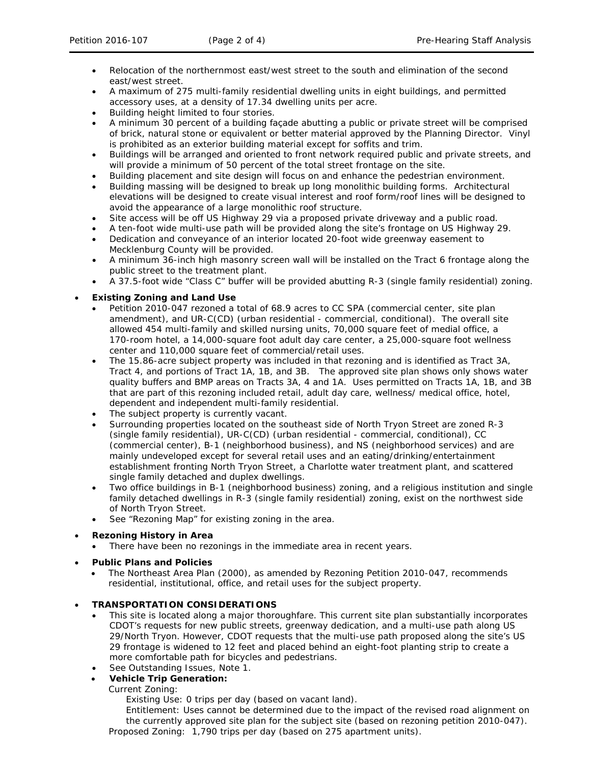- Relocation of the northernmost east/west street to the south and elimination of the second east/west street.
- A maximum of 275 multi-family residential dwelling units in eight buildings, and permitted accessory uses, at a density of 17.34 dwelling units per acre.
- Building height limited to four stories.
- A minimum 30 percent of a building façade abutting a public or private street will be comprised of brick, natural stone or equivalent or better material approved by the Planning Director. Vinyl is prohibited as an exterior building material except for soffits and trim.
- Buildings will be arranged and oriented to front network required public and private streets, and will provide a minimum of 50 percent of the total street frontage on the site.
- Building placement and site design will focus on and enhance the pedestrian environment.
- Building massing will be designed to break up long monolithic building forms. Architectural elevations will be designed to create visual interest and roof form/roof lines will be designed to avoid the appearance of a large monolithic roof structure.
- Site access will be off US Highway 29 via a proposed private driveway and a public road.
- A ten-foot wide multi-use path will be provided along the site's frontage on US Highway 29.
- Dedication and conveyance of an interior located 20-foot wide greenway easement to Mecklenburg County will be provided.
- A minimum 36-inch high masonry screen wall will be installed on the Tract 6 frontage along the public street to the treatment plant.
- A 37.5-foot wide "Class C" buffer will be provided abutting R-3 (single family residential) zoning.

## • **Existing Zoning and Land Use**

- Petition 2010-047 rezoned a total of 68.9 acres to CC SPA (commercial center, site plan amendment), and UR-C(CD) (urban residential - commercial, conditional). The overall site allowed 454 multi-family and skilled nursing units, 70,000 square feet of medial office, a 170-room hotel, a 14,000-square foot adult day care center, a 25,000-square foot wellness center and 110,000 square feet of commercial/retail uses.
- The 15.86-acre subject property was included in that rezoning and is identified as Tract 3A, Tract 4, and portions of Tract 1A, 1B, and 3B. The approved site plan shows only shows water quality buffers and BMP areas on Tracts 3A, 4 and 1A. Uses permitted on Tracts 1A, 1B, and 3B that are part of this rezoning included retail, adult day care, wellness/ medical office, hotel, dependent and independent multi-family residential.
- The subject property is currently vacant.
- Surrounding properties located on the southeast side of North Tryon Street are zoned R-3 (single family residential), UR-C(CD) (urban residential - commercial, conditional), CC (commercial center), B-1 (neighborhood business), and NS (neighborhood services) and are mainly undeveloped except for several retail uses and an eating/drinking/entertainment establishment fronting North Tryon Street, a Charlotte water treatment plant, and scattered single family detached and duplex dwellings.
- Two office buildings in B-1 (neighborhood business) zoning, and a religious institution and single family detached dwellings in R-3 (single family residential) zoning, exist on the northwest side of North Tryon Street.
- See "Rezoning Map" for existing zoning in the area.

## • **Rezoning History in Area**

- There have been no rezonings in the immediate area in recent years.
- **Public Plans and Policies**
	- The *Northeast Area Plan* (2000), as amended by Rezoning Petition 2010-047, recommends residential, institutional, office, and retail uses for the subject property.

## • **TRANSPORTATION CONSIDERATIONS**

- This site is located along a major thoroughfare. This current site plan substantially incorporates CDOT's requests for new public streets, greenway dedication, and a multi-use path along US 29/North Tryon. However, CDOT requests that the multi-use path proposed along the site's US 29 frontage is widened to 12 feet and placed behind an eight-foot planting strip to create a more comfortable path for bicycles and pedestrians.
- See Outstanding Issues, Note 1.

## • **Vehicle Trip Generation:**

## Current Zoning:

Existing Use: 0 trips per day (based on vacant land).

Entitlement: Uses cannot be determined due to the impact of the revised road alignment on the currently approved site plan for the subject site (based on rezoning petition 2010-047). Proposed Zoning: 1,790 trips per day (based on 275 apartment units).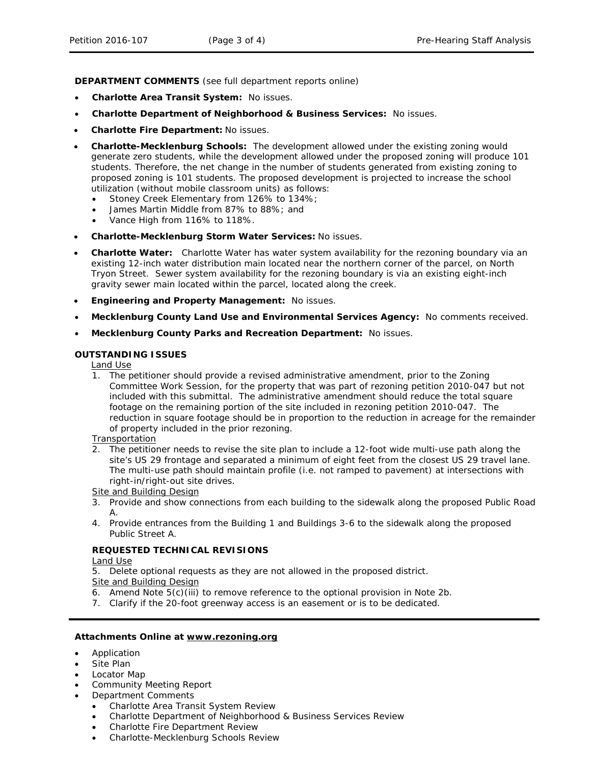**DEPARTMENT COMMENTS** (see full department reports online)

- **Charlotte Area Transit System:** No issues.
- **Charlotte Department of Neighborhood & Business Services:** No issues.
- **Charlotte Fire Department:** No issues.
- **Charlotte-Mecklenburg Schools:** The development allowed under the existing zoning would generate zero students, while the development allowed under the proposed zoning will produce 101 students. Therefore, the net change in the number of students generated from existing zoning to proposed zoning is 101 students. The proposed development is projected to increase the school utilization (without mobile classroom units) as follows:
	- Stoney Creek Elementary from 126% to 134%;
	- James Martin Middle from 87% to 88%; and
	- Vance High from 116% to 118%.
- **Charlotte-Mecklenburg Storm Water Services:** No issues.
- **Charlotte Water:** Charlotte Water has water system availability for the rezoning boundary via an existing 12-inch water distribution main located near the northern corner of the parcel, on North Tryon Street. Sewer system availability for the rezoning boundary is via an existing eight-inch gravity sewer main located within the parcel, located along the creek.
- **Engineering and Property Management:** No issues.
- **Mecklenburg County Land Use and Environmental Services Agency:** No comments received.
- **Mecklenburg County Parks and Recreation Department:** No issues.

### **OUTSTANDING ISSUES**

## Land Use

1. The petitioner should provide a revised administrative amendment, prior to the Zoning Committee Work Session, for the property that was part of rezoning petition 2010-047 but not included with this submittal. The administrative amendment should reduce the total square footage on the remaining portion of the site included in rezoning petition 2010-047. The reduction in square footage should be in proportion to the reduction in acreage for the remainder of property included in the prior rezoning.

#### Transportation

2. The petitioner needs to revise the site plan to include a 12-foot wide multi-use path along the site's US 29 frontage and separated a minimum of eight feet from the closest US 29 travel lane. The multi-use path should maintain profile (i.e. not ramped to pavement) at intersections with right-in/right-out site drives.

Site and Building Design

- 3. Provide and show connections from each building to the sidewalk along the proposed Public Road  $\mathsf{A}$ .
- 4. Provide entrances from the Building 1 and Buildings 3-6 to the sidewalk along the proposed Public Street A.

#### **REQUESTED TECHNICAL REVISIONS**

#### Land Use

5. Delete optional requests as they are not allowed in the proposed district.

### Site and Building Design

- 6. Amend Note 5(c)(iii) to remove reference to the optional provision in Note 2b.
- 7. Clarify if the 20-foot greenway access is an easement or is to be dedicated.

### **Attachments Online at www.rezoning.org**

- Application
- Site Plan
- Locator Map
- Community Meeting Report
	- Department Comments
		- Charlotte Area Transit System Review
		- Charlotte Department of Neighborhood & Business Services Review
		- Charlotte Fire Department Review
		- Charlotte-Mecklenburg Schools Review